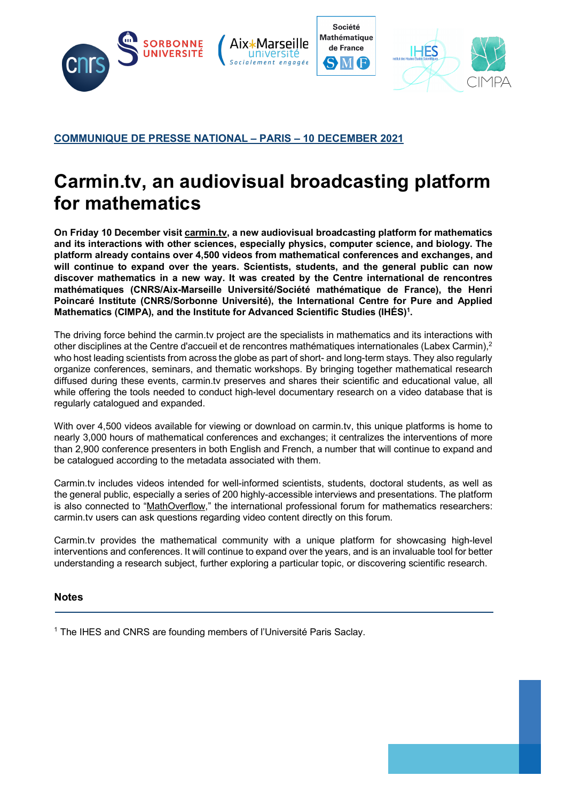

## **COMMUNIQUE DE PRESSE NATIONAL – PARIS – 10 DECEMBER 2021**

## **Carmin.tv, an audiovisual broadcasting platform for mathematics**

**On Friday 10 December visit carmin.tv, a new audiovisual broadcasting platform for mathematics and its interactions with other sciences, especially physics, computer science, and biology. The platform already contains over 4,500 videos from mathematical conferences and exchanges, and will continue to expand over the years. Scientists, students, and the general public can now discover mathematics in a new way. It was created by the Centre international de rencontres mathématiques (CNRS/Aix-Marseille Université/Société mathématique de France), the Henri Poincaré Institute (CNRS/Sorbonne Université), the International Centre for Pure and Applied**  Mathematics (CIMPA), and the Institute for Advanced Scientific Studies (IHÉS)<sup>1</sup>.

The driving force behind the carmin.tv project are the specialists in mathematics and its interactions with other disciplines at the Centre d'accueil et de rencontres mathématiques internationales (Labex Carmin),<sup>2</sup> who host leading scientists from across the globe as part of short- and long-term stays. They also regularly organize conferences, seminars, and thematic workshops. By bringing together mathematical research diffused during these events, carmin.tv preserves and shares their scientific and educational value, all while offering the tools needed to conduct high-level documentary research on a video database that is regularly catalogued and expanded.

With over 4,500 videos available for viewing or download on carmin.tv, this unique platforms is home to nearly 3,000 hours of mathematical conferences and exchanges; it centralizes the interventions of more than 2,900 conference presenters in both English and French, a number that will continue to expand and be catalogued according to the metadata associated with them.

Carmin.tv includes videos intended for well-informed scientists, students, doctoral students, as well as the general public, especially a series of 200 highly-accessible interviews and presentations. The platform is also connected to "MathOverflow," the international professional forum for mathematics researchers: carmin.tv users can ask questions regarding video content directly on this forum.

Carmin.tv provides the mathematical community with a unique platform for showcasing high-level interventions and conferences. It will continue to expand over the years, and is an invaluable tool for better understanding a research subject, further exploring a particular topic, or discovering scientific research.

## **Notes**

<sup>1</sup> The IHES and CNRS are founding members of l'Université Paris Saclay.